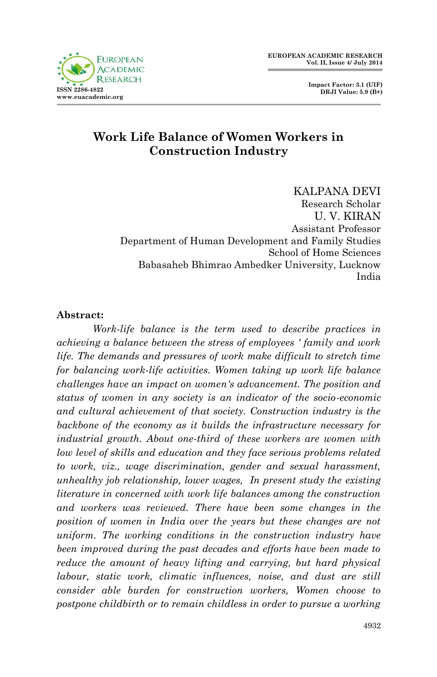



# **Work Life Balance of Women Workers in Construction Industry**

KALPANA DEVI Research Scholar U. V. KIRAN Assistant Professor Department of Human Development and Family Studies School of Home Sciences Babasaheb Bhimrao Ambedker University, Lucknow India

#### **Abstract:**

*Work-life balance is the term used to describe practices in achieving a balance between the stress of employees ' family and work life. The demands and pressures of work make difficult to stretch time for balancing work-life activities. Women taking up work life balance challenges have an impact on women's advancement. The position and status of women in any society is an indicator of the socio-economic and cultural achievement of that society. Construction industry is the backbone of the economy as it builds the infrastructure necessary for industrial growth. About one-third of these workers are women with low level of skills and education and they face serious problems related to work, viz., wage discrimination, gender and sexual harassment, unhealthy job relationship, lower wages, In present study the existing literature in concerned with work life balances among the construction and workers was reviewed. There have been some changes in the position of women in India over the years but these changes are not uniform. The working conditions in the construction industry have been improved during the past decades and efforts have been made to reduce the amount of heavy lifting and carrying, but hard physical labour, static work, climatic influences, noise, and dust are still consider able burden for construction workers, Women choose to postpone childbirth or to remain childless in order to pursue a working*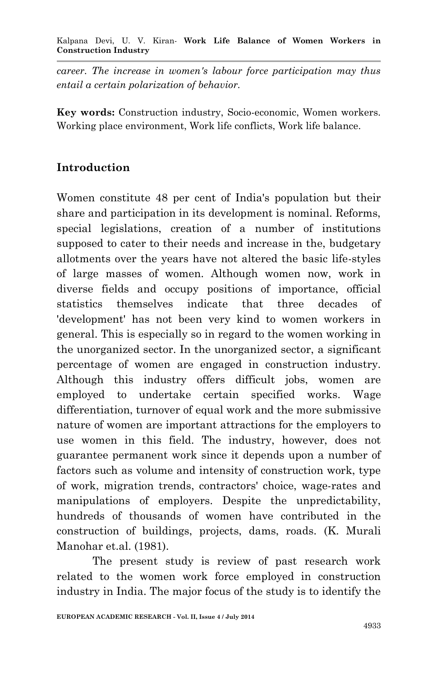*career. The increase in women's labour force participation may thus entail a certain polarization of behavior.* 

**Key words:** Construction industry, Socio-economic, Women workers. Working place environment, Work life conflicts, Work life balance.

# **Introduction**

Women constitute 48 per cent of India's population but their share and participation in its development is nominal. Reforms, special legislations, creation of a number of institutions supposed to cater to their needs and increase in the, budgetary allotments over the years have not altered the basic life-styles of large masses of women. Although women now, work in diverse fields and occupy positions of importance, official statistics themselves indicate that three decades of 'development' has not been very kind to women workers in general. This is especially so in regard to the women working in the unorganized sector. In the unorganized sector, a significant percentage of women are engaged in construction industry. Although this industry offers difficult jobs, women are employed to undertake certain specified works. Wage differentiation, turnover of equal work and the more submissive nature of women are important attractions for the employers to use women in this field. The industry, however, does not guarantee permanent work since it depends upon a number of factors such as volume and intensity of construction work, type of work, migration trends, contractors' choice, wage-rates and manipulations of employers. Despite the unpredictability, hundreds of thousands of women have contributed in the construction of buildings, projects, dams, roads. (K. Murali Manohar et.al. (1981).

The present study is review of past research work related to the women work force employed in construction industry in India. The major focus of the study is to identify the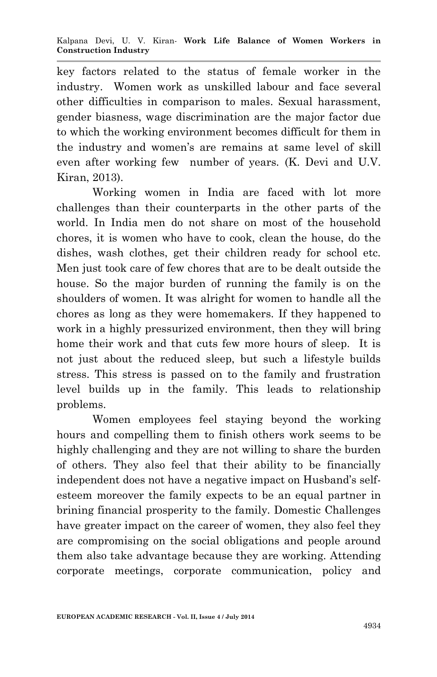key factors related to the status of female worker in the industry. Women work as unskilled labour and face several other difficulties in comparison to males. Sexual harassment, gender biasness, wage discrimination are the major factor due to which the working environment becomes difficult for them in the industry and women's are remains at same level of skill even after working few number of years*.* (K. Devi and U.V. Kiran, 2013).

Working women in India are faced with lot more challenges than their counterparts in the other parts of the world. In India men do not share on most of the household chores, it is women who have to cook, clean the house, do the dishes, wash clothes, get their children ready for school etc. Men just took care of few chores that are to be dealt outside the house. So the major burden of running the family is on the shoulders of women. It was alright for women to handle all the chores as long as they were homemakers. If they happened to work in a highly pressurized environment, then they will bring home their work and that cuts few more hours of sleep. It is not just about the reduced sleep, but such a lifestyle builds stress. This stress is passed on to the family and frustration level builds up in the family. This leads to relationship problems.

Women employees feel staying beyond the working hours and compelling them to finish others work seems to be highly challenging and they are not willing to share the burden of others. They also feel that their ability to be financially independent does not have a negative impact on Husband's selfesteem moreover the family expects to be an equal partner in brining financial prosperity to the family. Domestic Challenges have greater impact on the career of women, they also feel they are compromising on the social obligations and people around them also take advantage because they are working. Attending corporate meetings, corporate communication, policy and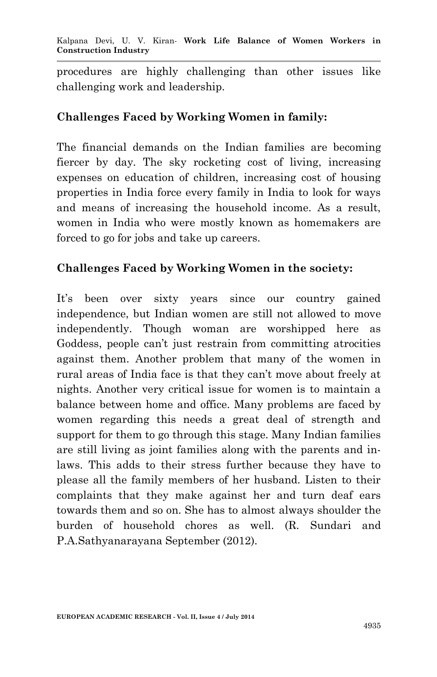procedures are highly challenging than other issues like challenging work and leadership.

## **Challenges Faced by Working Women in family:**

The financial demands on the Indian families are becoming fiercer by day. The sky rocketing cost of living, increasing expenses on education of children, increasing cost of housing properties in India force every family in India to look for ways and means of increasing the household income. As a result, women in India who were mostly known as homemakers are forced to go for jobs and take up careers.

## **Challenges Faced by Working Women in the society:**

It's been over sixty years since our country gained independence, but Indian women are still not allowed to move independently. Though woman are worshipped here as Goddess, people can't just restrain from committing atrocities against them. Another problem that many of the women in rural areas of India face is that they can't move about freely at nights. Another very critical issue for women is to maintain a balance between home and office. Many problems are faced by women regarding this needs a great deal of strength and support for them to go through this stage. Many Indian families are still living as joint families along with the parents and inlaws. This adds to their stress further because they have to please all the family members of her husband. Listen to their complaints that they make against her and turn deaf ears towards them and so on. She has to almost always shoulder the burden of household chores as well. (R. Sundari and P.A.Sathyanarayana September (2012).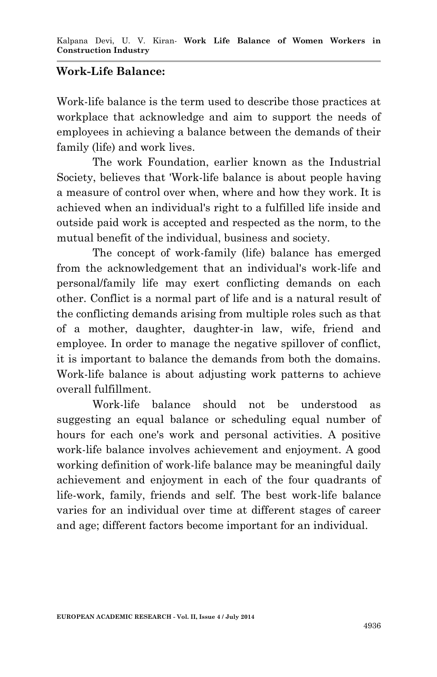## **Work-Life Balance:**

Work-life balance is the term used to describe those practices at workplace that acknowledge and aim to support the needs of employees in achieving a balance between the demands of their family (life) and work lives.

The work Foundation, earlier known as the Industrial Society, believes that 'Work-life balance is about people having a measure of control over when, where and how they work. It is achieved when an individual's right to a fulfilled life inside and outside paid work is accepted and respected as the norm, to the mutual benefit of the individual, business and society.

The concept of work-family (life) balance has emerged from the acknowledgement that an individual's work-life and personal/family life may exert conflicting demands on each other. Conflict is a normal part of life and is a natural result of the conflicting demands arising from multiple roles such as that of a mother, daughter, daughter-in law, wife, friend and employee. In order to manage the negative spillover of conflict, it is important to balance the demands from both the domains. Work-life balance is about adjusting work patterns to achieve overall fulfillment.

Work-life balance should not be understood as suggesting an equal balance or scheduling equal number of hours for each one's work and personal activities. A positive work-life balance involves achievement and enjoyment. A good working definition of work-life balance may be meaningful daily achievement and enjoyment in each of the four quadrants of life-work, family, friends and self. The best work-life balance varies for an individual over time at different stages of career and age; different factors become important for an individual.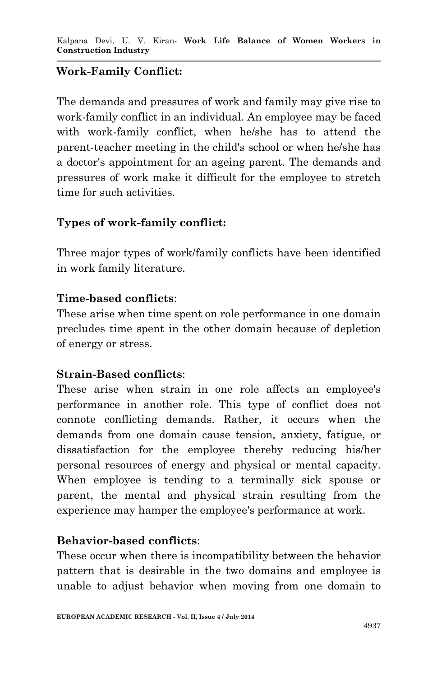# **Work-Family Conflict:**

The demands and pressures of work and family may give rise to work-family conflict in an individual. An employee may be faced with work-family conflict, when he/she has to attend the parent-teacher meeting in the child's school or when he/she has a doctor's appointment for an ageing parent. The demands and pressures of work make it difficult for the employee to stretch time for such activities.

## **Types of work-family conflict:**

Three major types of work/family conflicts have been identified in work family literature.

## **Time-based conflicts**:

These arise when time spent on role performance in one domain precludes time spent in the other domain because of depletion of energy or stress.

## **Strain-Based conflicts**:

These arise when strain in one role affects an employee's performance in another role. This type of conflict does not connote conflicting demands. Rather, it occurs when the demands from one domain cause tension, anxiety, fatigue, or dissatisfaction for the employee thereby reducing his/her personal resources of energy and physical or mental capacity. When employee is tending to a terminally sick spouse or parent, the mental and physical strain resulting from the experience may hamper the employee's performance at work.

## **Behavior-based conflicts**:

These occur when there is incompatibility between the behavior pattern that is desirable in the two domains and employee is unable to adjust behavior when moving from one domain to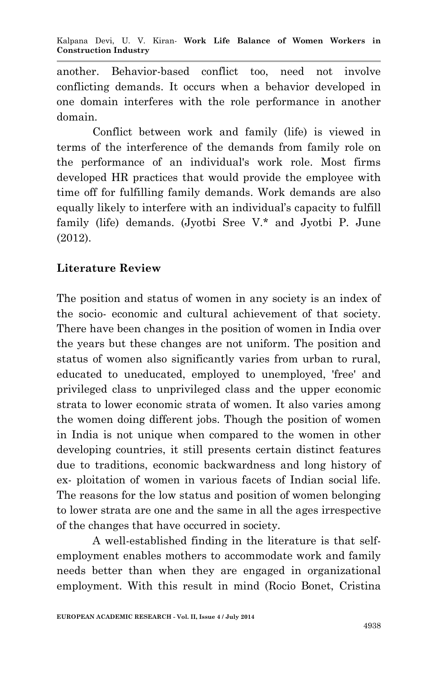another. Behavior-based conflict too, need not involve conflicting demands. It occurs when a behavior developed in one domain interferes with the role performance in another domain.

Conflict between work and family (life) is viewed in terms of the interference of the demands from family role on the performance of an individual's work role. Most firms developed HR practices that would provide the employee with time off for fulfilling family demands. Work demands are also equally likely to interfere with an individual's capacity to fulfill family (life) demands. (Jyotbi Sree V.\* and Jyotbi P. June (2012).

# **Literature Review**

The position and status of women in any society is an index of the socio- economic and cultural achievement of that society. There have been changes in the position of women in India over the years but these changes are not uniform. The position and status of women also significantly varies from urban to rural, educated to uneducated, employed to unemployed, 'free' and privileged class to unprivileged class and the upper economic strata to lower economic strata of women. It also varies among the women doing different jobs. Though the position of women in India is not unique when compared to the women in other developing countries, it still presents certain distinct features due to traditions, economic backwardness and long history of ex- ploitation of women in various facets of Indian social life. The reasons for the low status and position of women belonging to lower strata are one and the same in all the ages irrespective of the changes that have occurred in society.

A well-established finding in the literature is that selfemployment enables mothers to accommodate work and family needs better than when they are engaged in organizational employment. With this result in mind (Rocio Bonet, Cristina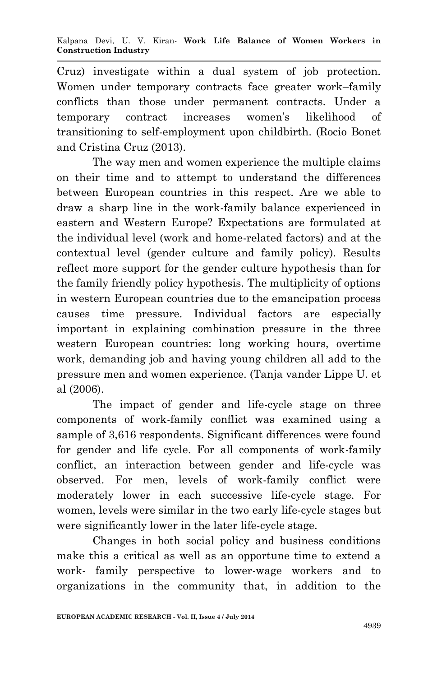Cruz) investigate within a dual system of job protection. Women under temporary contracts face greater work–family conflicts than those under permanent contracts. Under a temporary contract increases women's likelihood of transitioning to self-employment upon childbirth. (Rocio Bonet and Cristina Cruz (2013).

The way men and women experience the multiple claims on their time and to attempt to understand the differences between European countries in this respect. Are we able to draw a sharp line in the work-family balance experienced in eastern and Western Europe? Expectations are formulated at the individual level (work and home-related factors) and at the contextual level (gender culture and family policy). Results reflect more support for the gender culture hypothesis than for the family friendly policy hypothesis. The multiplicity of options in western European countries due to the emancipation process causes time pressure. Individual factors are especially important in explaining combination pressure in the three western European countries: long working hours, overtime work, demanding job and having young children all add to the pressure men and women experience. (Tanja vander Lippe U. et al (2006).

The impact of gender and life-cycle stage on three components of work-family conflict was examined using a sample of 3,616 respondents. Significant differences were found for gender and life cycle. For all components of work-family conflict, an interaction between gender and life-cycle was observed. For men, levels of work-family conflict were moderately lower in each successive life-cycle stage. For women, levels were similar in the two early life-cycle stages but were significantly lower in the later life-cycle stage.

Changes in both social policy and business conditions make this a critical as well as an opportune time to extend a work- family perspective to lower-wage workers and to organizations in the community that, in addition to the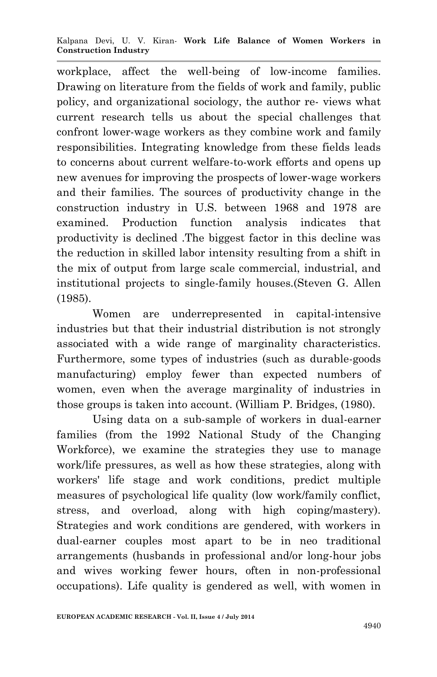workplace, affect the well-being of low-income families. Drawing on literature from the fields of work and family, public policy, and organizational sociology, the author re- views what current research tells us about the special challenges that confront lower-wage workers as they combine work and family responsibilities. Integrating knowledge from these fields leads to concerns about current welfare-to-work efforts and opens up new avenues for improving the prospects of lower-wage workers and their families. The sources of productivity change in the construction industry in U.S. between 1968 and 1978 are examined. Production function analysis indicates that productivity is declined .The biggest factor in this decline was the reduction in skilled labor intensity resulting from a shift in the mix of output from large scale commercial, industrial, and institutional projects to single-family houses.(Steven G. Allen (1985).

Women are underrepresented in capital-intensive industries but that their industrial distribution is not strongly associated with a wide range of marginality characteristics. Furthermore, some types of industries (such as durable-goods manufacturing) employ fewer than expected numbers of women, even when the average marginality of industries in those groups is taken into account. (William P. Bridges, (1980).

Using data on a sub-sample of workers in dual-earner families (from the 1992 National Study of the Changing Workforce), we examine the strategies they use to manage work/life pressures, as well as how these strategies, along with workers' life stage and work conditions, predict multiple measures of psychological life quality (low work/family conflict, stress, and overload, along with high coping/mastery). Strategies and work conditions are gendered, with workers in dual-earner couples most apart to be in neo traditional arrangements (husbands in professional and/or long-hour jobs and wives working fewer hours, often in non-professional occupations). Life quality is gendered as well, with women in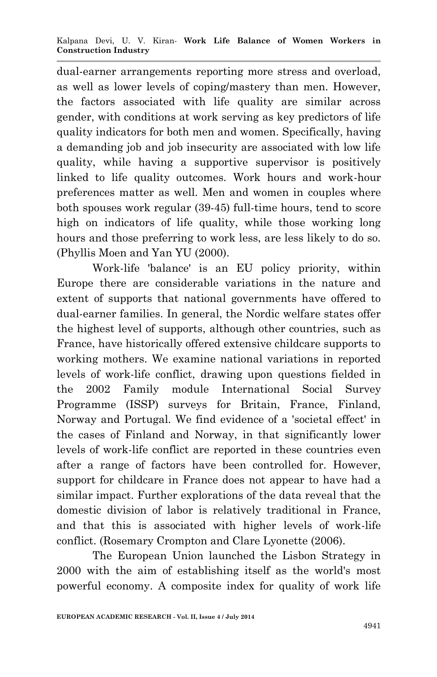dual-earner arrangements reporting more stress and overload, as well as lower levels of coping/mastery than men. However, the factors associated with life quality are similar across gender, with conditions at work serving as key predictors of life quality indicators for both men and women. Specifically, having a demanding job and job insecurity are associated with low life quality, while having a supportive supervisor is positively linked to life quality outcomes. Work hours and work-hour preferences matter as well. Men and women in couples where both spouses work regular (39-45) full-time hours, tend to score high on indicators of life quality, while those working long hours and those preferring to work less, are less likely to do so. (Phyllis Moen and Yan YU (2000).

Work-life 'balance' is an EU policy priority, within Europe there are considerable variations in the nature and extent of supports that national governments have offered to dual-earner families. In general, the Nordic welfare states offer the highest level of supports, although other countries, such as France, have historically offered extensive childcare supports to working mothers. We examine national variations in reported levels of work-life conflict, drawing upon questions fielded in the 2002 Family module International Social Survey Programme (ISSP) surveys for Britain, France, Finland, Norway and Portugal. We find evidence of a 'societal effect' in the cases of Finland and Norway, in that significantly lower levels of work-life conflict are reported in these countries even after a range of factors have been controlled for. However, support for childcare in France does not appear to have had a similar impact. Further explorations of the data reveal that the domestic division of labor is relatively traditional in France, and that this is associated with higher levels of work-life conflict. (Rosemary Crompton and Clare Lyonette (2006).

The European Union launched the Lisbon Strategy in 2000 with the aim of establishing itself as the world's most powerful economy. A composite index for quality of work life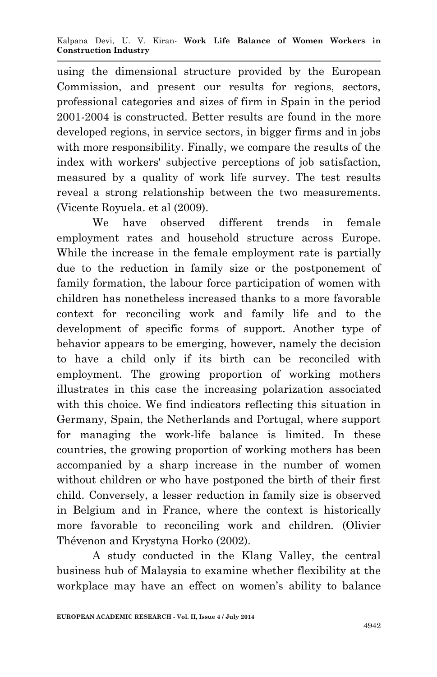using the dimensional structure provided by the European Commission, and present our results for regions, sectors, professional categories and sizes of firm in Spain in the period 2001-2004 is constructed. Better results are found in the more developed regions, in service sectors, in bigger firms and in jobs with more responsibility. Finally, we compare the results of the index with workers' subjective perceptions of job satisfaction, measured by a quality of work life survey. The test results reveal a strong relationship between the two measurements. (Vicente Royuela. et al (2009).

We have observed different trends in female employment rates and household structure across Europe. While the increase in the female employment rate is partially due to the reduction in family size or the postponement of family formation, the labour force participation of women with children has nonetheless increased thanks to a more favorable context for reconciling work and family life and to the development of specific forms of support. Another type of behavior appears to be emerging, however, namely the decision to have a child only if its birth can be reconciled with employment. The growing proportion of working mothers illustrates in this case the increasing polarization associated with this choice. We find indicators reflecting this situation in Germany, Spain, the Netherlands and Portugal, where support for managing the work-life balance is limited. In these countries, the growing proportion of working mothers has been accompanied by a sharp increase in the number of women without children or who have postponed the birth of their first child. Conversely, a lesser reduction in family size is observed in Belgium and in France, where the context is historically more favorable to reconciling work and children. (Olivier Thévenon and Krystyna Horko (2002).

A study conducted in the Klang Valley, the central business hub of Malaysia to examine whether flexibility at the workplace may have an effect on women's ability to balance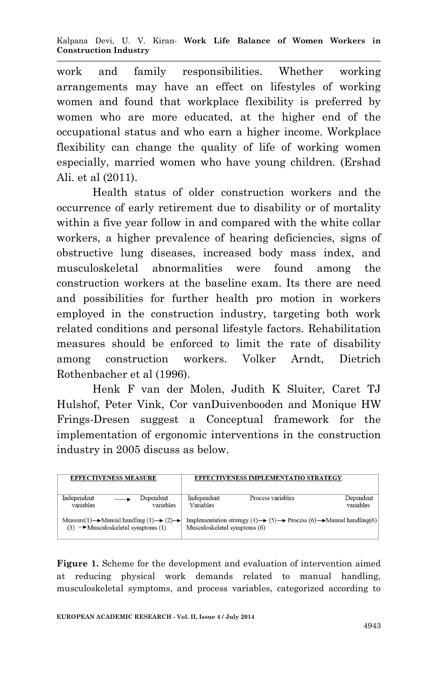work and family responsibilities. Whether working arrangements may have an effect on lifestyles of working women and found that workplace flexibility is preferred by women who are more educated, at the higher end of the occupational status and who earn a higher income. Workplace flexibility can change the quality of life of working women especially, married women who have young children. (Ershad Ali. et al (2011).

Health status of older construction workers and the occurrence of early retirement due to disability or of mortality within a five year follow in and compared with the white collar workers, a higher prevalence of hearing deficiencies, signs of obstructive lung diseases, increased body mass index, and musculoskeletal abnormalities were found among the construction workers at the baseline exam. Its there are need and possibilities for further health pro motion in workers employed in the construction industry, targeting both work related conditions and personal lifestyle factors. Rehabilitation measures should be enforced to limit the rate of disability among construction workers. Volker Arndt, Dietrich Rothenbacher et al (1996).

Henk F van der Molen, Judith K Sluiter, Caret TJ Hulshof, Peter Vink, Cor vanDuivenbooden and Monique HW Frings-Dresen suggest a Conceptual framework for the implementation of ergonomic interventions in the construction industry in 2005 discuss as below.



**Figure 1.** Scheme for the development and evaluation of intervention aimed at reducing physical work demands related to manual handling, musculoskeletal symptoms, and process variables, categorized according to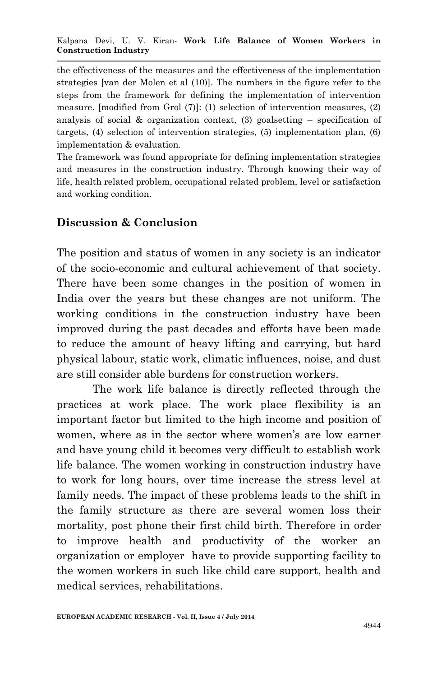the effectiveness of the measures and the effectiveness of the implementation strategies [van der Molen et al (10)]. The numbers in the figure refer to the steps from the framework for defining the implementation of intervention measure. [modified from Grol (7)]: (1) selection of intervention measures, (2) analysis of social  $\&$  organization context, (3) goalsetting – specification of targets, (4) selection of intervention strategies, (5) implementation plan, (6) implementation & evaluation.

The framework was found appropriate for defining implementation strategies and measures in the construction industry. Through knowing their way of life, health related problem, occupational related problem, level or satisfaction and working condition.

## **Discussion & Conclusion**

The position and status of women in any society is an indicator of the socio-economic and cultural achievement of that society. There have been some changes in the position of women in India over the years but these changes are not uniform. The working conditions in the construction industry have been improved during the past decades and efforts have been made to reduce the amount of heavy lifting and carrying, but hard physical labour, static work, climatic influences, noise, and dust are still consider able burdens for construction workers.

The work life balance is directly reflected through the practices at work place. The work place flexibility is an important factor but limited to the high income and position of women, where as in the sector where women's are low earner and have young child it becomes very difficult to establish work life balance. The women working in construction industry have to work for long hours, over time increase the stress level at family needs. The impact of these problems leads to the shift in the family structure as there are several women loss their mortality, post phone their first child birth. Therefore in order to improve health and productivity of the worker an organization or employer have to provide supporting facility to the women workers in such like child care support, health and medical services, rehabilitations.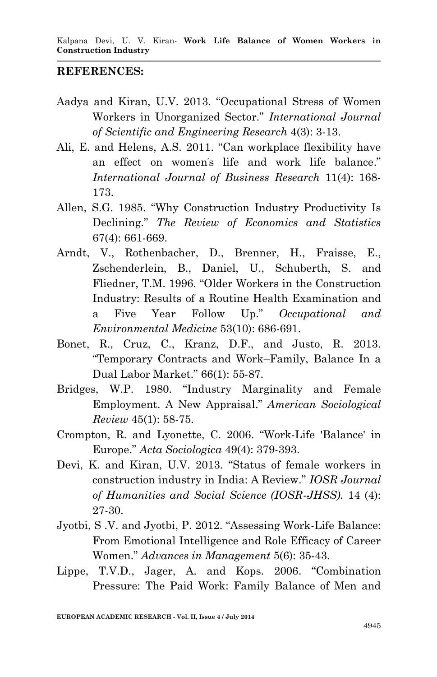#### **REFERENCES:**

- Aadya and Kiran, U.V. 2013. "Occupational Stress of Women Workers in Unorganized Sector." *International Journal of Scientific and Engineering Research* 4(3): 3-13.
- Ali, E. and Helens, A.S. 2011. "Can workplace flexibility have an effect on women's life and work life balance." *International Journal of Business Research* 11(4): 168- 173.
- Allen, S.G. 1985. "Why Construction Industry Productivity Is Declining." *The Review of Economics and Statistics* 67(4): 661-669.
- Arndt, V., Rothenbacher, D., Brenner, H., Fraisse, E., Zschenderlein, B., Daniel, U., Schuberth, S. and Fliedner, T.M. 1996. "Older Workers in the Construction Industry: Results of a Routine Health Examination and a Five Year Follow Up." *Occupational and Environmental Medicine* 53(10): 686-691.
- Bonet, R., Cruz, C., Kranz, D.F., and Justo, R. 2013. "Temporary Contracts and Work–Family, Balance In a Dual Labor Market." 66(1): 55-87.
- Bridges, W.P. 1980. "Industry Marginality and Female Employment. A New Appraisal." *American Sociological Review* 45(1): 58-75.
- Crompton, R. and Lyonette, C. 2006. "Work-Life 'Balance' in Europe." *Acta Sociologica* 49(4): 379-393.
- Devi, K. and Kiran, U.V. 2013. "Status of female workers in construction industry in India: A Review." *IOSR Journal of Humanities and Social Science (IOSR-JHSS).* 14 (4): 27-30.
- Jyotbi, S .V. and Jyotbi, P. 2012. "Assessing Work-Life Balance: From Emotional Intelligence and Role Efficacy of Career Women." *Advances in Management* 5(6): 35-43.
- Lippe, T.V.D., Jager, A. and Kops. 2006. "Combination Pressure: The Paid Work: Family Balance of Men and